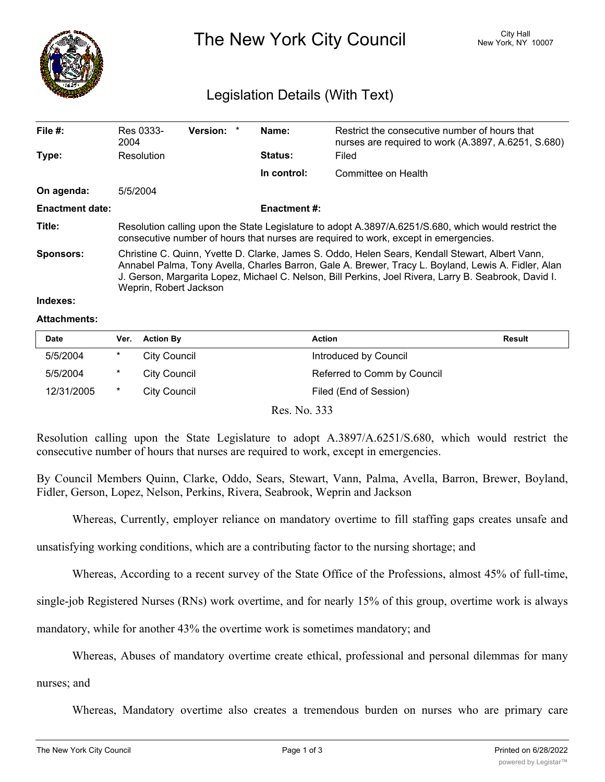

# The New York City Council New York, NY 10007

## Legislation Details (With Text)

| File $#$ :             | Res 0333-<br>2004                                                                                                                                                                                                                                                                                                                         | <b>Version:</b> |  | Name:          | Restrict the consecutive number of hours that<br>nurses are required to work (A.3897, A.6251, S.680) |  |  |
|------------------------|-------------------------------------------------------------------------------------------------------------------------------------------------------------------------------------------------------------------------------------------------------------------------------------------------------------------------------------------|-----------------|--|----------------|------------------------------------------------------------------------------------------------------|--|--|
| Type:                  | Resolution                                                                                                                                                                                                                                                                                                                                |                 |  | <b>Status:</b> | Filed                                                                                                |  |  |
|                        |                                                                                                                                                                                                                                                                                                                                           |                 |  | In control:    | Committee on Health                                                                                  |  |  |
| On agenda:             | 5/5/2004                                                                                                                                                                                                                                                                                                                                  |                 |  |                |                                                                                                      |  |  |
| <b>Enactment date:</b> | <b>Enactment #:</b>                                                                                                                                                                                                                                                                                                                       |                 |  |                |                                                                                                      |  |  |
| Title:                 | Resolution calling upon the State Legislature to adopt A.3897/A.6251/S.680, which would restrict the<br>consecutive number of hours that nurses are required to work, except in emergencies.                                                                                                                                              |                 |  |                |                                                                                                      |  |  |
| <b>Sponsors:</b>       | Christine C. Quinn, Yvette D. Clarke, James S. Oddo, Helen Sears, Kendall Stewart, Albert Vann,<br>Annabel Palma, Tony Avella, Charles Barron, Gale A. Brewer, Tracy L. Boyland, Lewis A. Fidler, Alan<br>J. Gerson, Margarita Lopez, Michael C. Nelson, Bill Perkins, Joel Rivera, Larry B. Seabrook, David I.<br>Weprin, Robert Jackson |                 |  |                |                                                                                                      |  |  |

#### **Indexes:**

#### **Attachments:**

| <b>Date</b> | Ver. | <b>Action By</b> | Action                      | Result |
|-------------|------|------------------|-----------------------------|--------|
| 5/5/2004    | *    | City Council     | Introduced by Council       |        |
| 5/5/2004    | *    | City Council     | Referred to Comm by Council |        |
| 12/31/2005  |      | City Council     | Filed (End of Session)      |        |

Res. No. 333

Resolution calling upon the State Legislature to adopt A.3897/A.6251/S.680, which would restrict the consecutive number of hours that nurses are required to work, except in emergencies.

By Council Members Quinn, Clarke, Oddo, Sears, Stewart, Vann, Palma, Avella, Barron, Brewer, Boyland, Fidler, Gerson, Lopez, Nelson, Perkins, Rivera, Seabrook, Weprin and Jackson

Whereas, Currently, employer reliance on mandatory overtime to fill staffing gaps creates unsafe and

unsatisfying working conditions, which are a contributing factor to the nursing shortage; and

Whereas, According to a recent survey of the State Office of the Professions, almost 45% of full-time,

single-job Registered Nurses (RNs) work overtime, and for nearly 15% of this group, overtime work is always

mandatory, while for another 43% the overtime work is sometimes mandatory; and

Whereas, Abuses of mandatory overtime create ethical, professional and personal dilemmas for many

nurses; and

Whereas, Mandatory overtime also creates a tremendous burden on nurses who are primary care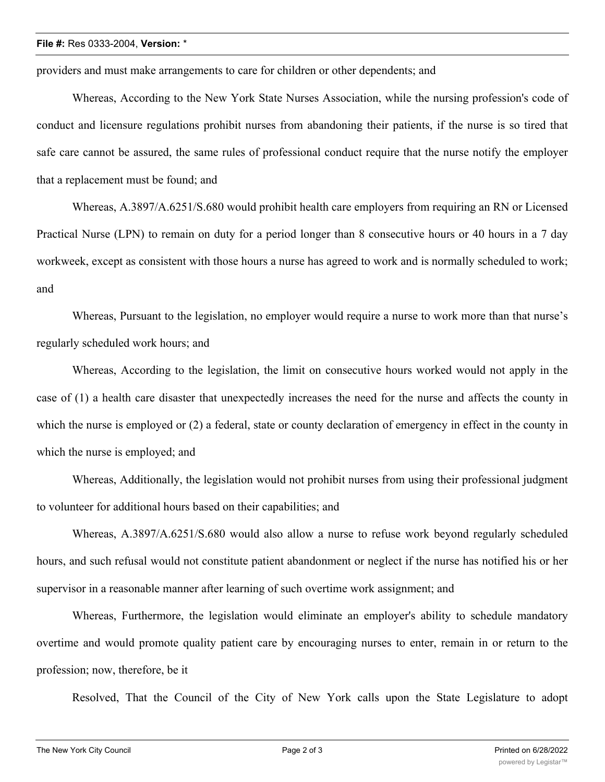#### **File #:** Res 0333-2004, **Version:** \*

providers and must make arrangements to care for children or other dependents; and

Whereas, According to the New York State Nurses Association, while the nursing profession's code of conduct and licensure regulations prohibit nurses from abandoning their patients, if the nurse is so tired that safe care cannot be assured, the same rules of professional conduct require that the nurse notify the employer that a replacement must be found; and

Whereas, A.3897/A.6251/S.680 would prohibit health care employers from requiring an RN or Licensed Practical Nurse (LPN) to remain on duty for a period longer than 8 consecutive hours or 40 hours in a 7 day workweek, except as consistent with those hours a nurse has agreed to work and is normally scheduled to work; and

Whereas, Pursuant to the legislation, no employer would require a nurse to work more than that nurse's regularly scheduled work hours; and

Whereas, According to the legislation, the limit on consecutive hours worked would not apply in the case of (1) a health care disaster that unexpectedly increases the need for the nurse and affects the county in which the nurse is employed or (2) a federal, state or county declaration of emergency in effect in the county in which the nurse is employed; and

Whereas, Additionally, the legislation would not prohibit nurses from using their professional judgment to volunteer for additional hours based on their capabilities; and

Whereas, A.3897/A.6251/S.680 would also allow a nurse to refuse work beyond regularly scheduled hours, and such refusal would not constitute patient abandonment or neglect if the nurse has notified his or her supervisor in a reasonable manner after learning of such overtime work assignment; and

Whereas, Furthermore, the legislation would eliminate an employer's ability to schedule mandatory overtime and would promote quality patient care by encouraging nurses to enter, remain in or return to the profession; now, therefore, be it

Resolved, That the Council of the City of New York calls upon the State Legislature to adopt